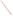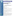# Technical Factsheet on: 1,2- DICHLOROETHANE

[List of Contaminants](http://www.epa.gov/safewater/hfacts.html)

As part of the Drinking Water and Health pages, this fact sheet is part of a larger publication: National Primary Drinking Water Regulations

## Drinking Water Standards

MCLG: zero mg/L MCL: 0.005 mg/L HAL(child): 1- to 10-day: 0.7 mg/L; Longer-term: 0.7 mg/L

### Health Effects Summary

Acute: EPA has found acute oral exposures to 1,2-dichloroethane to potentially cause central nervous system disorders, and adverse lung, kidney, liver circulatory and gastrointestinal effects.

Drinking water levels which are considered "safe" for short-term exposures: For a 10-kg (22 lb.) child consuming 1 liter of water per day: upto a 7-year exposure to 0.7 mg/L.

Chronic: No reliable data are available concerning toxic effects from chronic exposures to 1,2 dichloroethane at levels above the MCL.

Cancer: There is some evidence that 1,2-Dichloroethane may have the potential to cause cancer from a lifetime exposure at levels above the MCL.

#### Usage Patterns

Production of 1,2-dichloroethane has increased steadily: from about 14 billion lbs. in 1990 to 18 billion lbs. in 1993. In 1985 it was estimated that industries consumed 1,2-dichloroethane as follows: Vinyl chloride monomer, 97%; chlorinated solvents, 2%; miscellaneous, 1%.

The greatest use of 1,2-dichloroethane is in chemical manufacture, including: vinyl chloride, tri- & tetra-chloroethylene, vinylidene chloride & trichloroethane, ethylene glycol,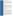diaminoethylene, polyvinyl chloride, nylon, viscose rayon, styrene-butadiene rubber, and various plastics; as a lead scavenger in gasoline.

1,2-dichloroethane has a variety of uses as a solvent uses: for resins, asphalt, bitumen, rubber; for fats, oils, waxes, gums resins; used as pickling agent and a dry clean agent; in photography, xerography, water softening & in production of cosmetics; for processing pharmaceutical products; in leather cleaning, degreaser compounds, rubber cement, and acrylic adhesives. It is also used in extracting spices such as annatto, paprika & turmeric.

Other uses include as a fumigant for harvested grain, in orchards, in mushroom houses; fumigant for upholstery and carpets.

# Release Patterns

Major atmospheric releases of 1,2-dichloroethane are due to its production and use as a chemical intermediate, lead scavenger, extraction and cleaning solvent, diluent for pesticides, grain fumigant and in paint, coatings and adhesives. Other releases are from waste water, spills, and/or improper disposal primarily from its use as a cleaning solvent and chemical intermediates. Land release is primarily from its production and use as a cleaning solvent and diluent for pesticides. Chlorination of water does not appear to contribute to 1,2 dichloroethane in drinking water.

From 1987 to 1993, according to the Toxics Release Inventory, releases to water totalled over 433,000 lbs. Release to land totalled over 22,000 lbs. These releases were primarily from facilities classified as producing industrial organic chemicals, alkalies and chlorine. The largest releases occurred in New Jersey and Louisiana.

#### Environmental Fate

Releases to water will primarily be removed by evaporation (half-life several hours to 10 days). Although firm experimental data are lacking, the photooxidation of 1,2-dichloroethane in water is expected to be slow. The rate of hydrolysis is not significant, being much slower than other pertinent environmental processes such as volatilization and photooxidation.

Releases on land will dissipate by volatilization to air and by percolation into groundwater where it is likely to persist for a very long time. Little adsorption to soil is expected based upon an experimental Koc of 33 for silt loam which in agreement with values calculated from the water solubility. 1,2-Dichloroethane rapidly percolates through sandy soil.

Once in the atmosphere, it may be transported long distances and is primarily removed by photooxidation (half-life approx 1 month). The direct photolysis of 1,2-dichloroethane is not a significant loss process. It is primarily degraded in the atmosphere by reaction with hydroxyl radicals, having a half-life of a little over a month with a 1.9% loss for a 12 hour sunlit day. Indirect evidence for photooxidation of 1,2-dichloroethane comes from the observation that monitoring levels are highest during the night and early morning. The products of photooxidation are CO2 and HCl.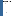Biodegradability tests with 1,2-dichloroethane resulted in little or no biodegradation in aerobic systems using sewage seed or activated sludge. The one river die-away test reported no degradation. The percent BOD produced in 5-10 days was 0-7%. Another investigator reported slow to moderate biodegradation activity. The extent of biodegradation is difficult to assess due to compounds' susceptibility to volatilization. No degradation occurred in an acclimated anaerobic system after 4 months incubation.

1,2-Dichloroethane is not expected to bioconcentrate in fish due to its low octanol/water partition function (1.48). The measured log BCF in bluegill sunfish is 0.30. Its presence in some food products is probably due to its use as an extractant. Major human exposure is from urban air, drinking water from contaminated aquifers and occupational atmospheres.

# Chemical/Physical Properties

CAS Number: 107-06-2

Color/ Form/Odor: Colorless, oily liquid with a pleasant, sweet, chloroform-like odor

M.P.: N/A B.P.: N/A

Vapor Pressure: N/A; highly volatile

Density/Spec. Grav.: 1.235 at 20 C

Octanol/Water Partition (Kow): Log Kow = 1.48

Solubilities: 8.7 g/L of water at 20 C;

Soil sorption coefficient: Koc measured at 33 for silt/loam; high to very high mobility in soil

Odor/Taste Thresholds: Taste threshold in water is 29 mg/L

Bioconcentration Factor: Log BCF is 0.30 in fish; not expected to bioconcentrate in fish.

Henry's Law Coefficient: N/A

Trade Names/Synonyms: 1,2-Ethylene dichloride; Glycol dichloride; Freon 150; Borer sol; Brocide; Destruxol borer-sol; Dichlor-mulsion; Dutch oil; Granosan

# Other Regulatory Information

Monitoring:

--For Ground/Surface Water Sources: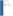Initial Frequency- 4 quarterly samples every 3 years

Repeat Frequency- Annually after 1 year of no detection

--Triggers - Return to Initial Freq. if detect at > 0.0005 mg/L

## Analysis

| <b>Reference Source</b> | <b>Method Numbers</b> |
|-------------------------|-----------------------|
| EPA 600/4-88-039        | 502.2:524.2           |

Treatment/Best Available Technologies: Granular Activated Charcoal and Packed Tower Aeration

#### Toxic Release Inventory - Releases to Water and Land, 1987 to 1993 (in pounds):

|                            | <b>TOTALS (in pounds)</b> | Water<br>433,056 | Land<br>22,616   |
|----------------------------|---------------------------|------------------|------------------|
| Top Six States*            |                           |                  |                  |
| NJ                         | 192,700                   | 231              |                  |
| LA                         | 136,508                   | 2,292            |                  |
| <b>ΤX</b>                  | 36,459                    | 7,028            |                  |
| <b>MO</b>                  | 6,786                     | 8,730            |                  |
| NΥ                         | 11,330                    | $\boldsymbol{0}$ |                  |
| KY                         | 10,309                    | $\boldsymbol{0}$ |                  |
| <b>Major Industries</b>    |                           |                  |                  |
| Industrial organics        |                           | 211,146          | 363              |
| Alkalies, chlorine         |                           | 120,283          | 3,254            |
| Cyclic crudes, intermed.   |                           | 32,945           | 119              |
| Agricultural chemicals     |                           | 11,918           | 8,980            |
| Industrial gases           |                           | 15,497           | $\boldsymbol{0}$ |
| Plastics materials, resins |                           | 6,908            | 6,895            |